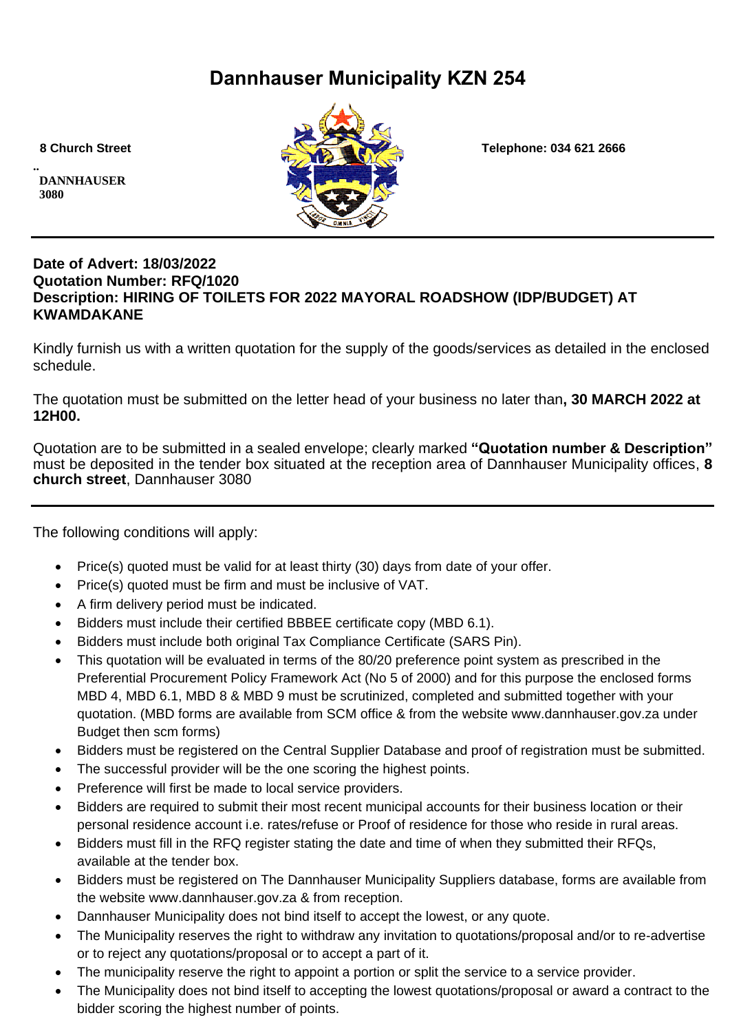# **Dannhauser Municipality KZN 254**

**.. DANNHAUSER 3080** 



 **8 Church Street Telephone: 034 621 2666**

## **Date of Advert: 18/03/2022 Quotation Number: RFQ/1020 Description: HIRING OF TOILETS FOR 2022 MAYORAL ROADSHOW (IDP/BUDGET) AT KWAMDAKANE**

Kindly furnish us with a written quotation for the supply of the goods/services as detailed in the enclosed schedule.

The quotation must be submitted on the letter head of your business no later than**, 30 MARCH 2022 at 12H00.**

Quotation are to be submitted in a sealed envelope; clearly marked **"Quotation number & Description"** must be deposited in the tender box situated at the reception area of Dannhauser Municipality offices, **8 church street**, Dannhauser 3080

The following conditions will apply:

- Price(s) quoted must be valid for at least thirty (30) days from date of your offer.
- Price(s) quoted must be firm and must be inclusive of VAT.
- A firm delivery period must be indicated.
- Bidders must include their certified BBBEE certificate copy (MBD 6.1).
- Bidders must include both original Tax Compliance Certificate (SARS Pin).
- This quotation will be evaluated in terms of the 80/20 preference point system as prescribed in the Preferential Procurement Policy Framework Act (No 5 of 2000) and for this purpose the enclosed forms MBD 4, MBD 6.1, MBD 8 & MBD 9 must be scrutinized, completed and submitted together with your quotation. (MBD forms are available from SCM office & from the website www.dannhauser.gov.za under Budget then scm forms)
- Bidders must be registered on the Central Supplier Database and proof of registration must be submitted.
- The successful provider will be the one scoring the highest points.
- Preference will first be made to local service providers.
- Bidders are required to submit their most recent municipal accounts for their business location or their personal residence account i.e. rates/refuse or Proof of residence for those who reside in rural areas.
- Bidders must fill in the RFQ register stating the date and time of when they submitted their RFQs, available at the tender box.
- Bidders must be registered on The Dannhauser Municipality Suppliers database, forms are available from the website www.dannhauser.gov.za & from reception.
- Dannhauser Municipality does not bind itself to accept the lowest, or any quote.
- The Municipality reserves the right to withdraw any invitation to quotations/proposal and/or to re-advertise or to reject any quotations/proposal or to accept a part of it.
- The municipality reserve the right to appoint a portion or split the service to a service provider.
- The Municipality does not bind itself to accepting the lowest quotations/proposal or award a contract to the bidder scoring the highest number of points.